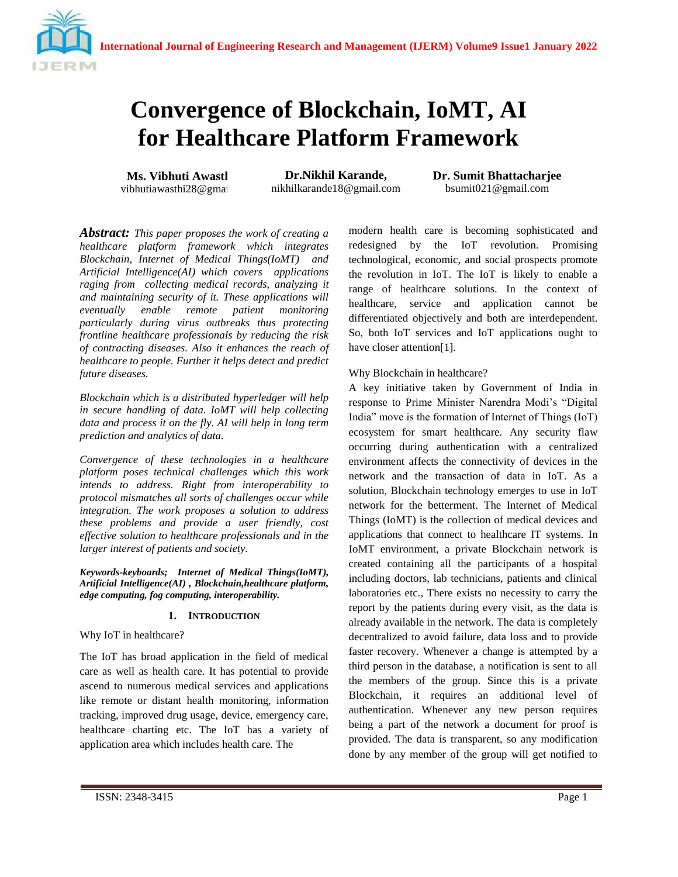

# **Convergence of Blockchain, IoMT, AI for Healthcare Platform Framework**

**Ms. Vibhuti Awastl** vibhutiawasthi28@gmail

**Dr.Nikhil Karande,**  nikhil[karande18@gmail.com](mailto:nikhilkarande18@gmail.com)  **Dr. Sumit Bhattacharjee**  bsumit021@gmail.com

*Abstract: This paper proposes the work of creating a healthcare platform framework which integrates Blockchain, Internet of Medical Things(IoMT) and Artificial Intelligence(AI) which covers applications raging from collecting medical records, analyzing it and maintaining security of it. These applications will eventually enable remote patient monitoring particularly during virus outbreaks thus protecting frontline healthcare professionals by reducing the risk of contracting diseases. Also it enhances the reach of healthcare to people. Further it helps detect and predict future diseases.* 

*Blockchain which is a distributed hyperledger will help in secure handling of data. IoMT will help collecting data and process it on the fly. AI will help in long term prediction and analytics of data.*

*Convergence of these technologies in a healthcare platform poses technical challenges which this work intends to address. Right from interoperability to protocol mismatches all sorts of challenges occur while integration. The work proposes a solution to address these problems and provide a user friendly, cost effective solution to healthcare professionals and in the larger interest of patients and society.*

*Keywords-keyboards; Internet of Medical Things(IoMT), Artificial Intelligence(AI) , Blockchain,healthcare platform, edge computing, fog computing, interoperability.*

#### **1. INTRODUCTION**

Why IoT in healthcare?

The IoT has broad application in the field of medical care as well as health care. It has potential to provide ascend to numerous medical services and applications like remote or distant health monitoring, information tracking, improved drug usage, device, emergency care, healthcare charting etc. The IoT has a variety of application area which includes health care. The

modern health care is becoming sophisticated and redesigned by the IoT revolution. Promising technological, economic, and social prospects promote the revolution in IoT. The IoT is likely to enable a range of healthcare solutions. In the context of healthcare, service and application cannot be differentiated objectively and both are interdependent. So, both IoT services and IoT applications ought to have closer attention[1].

Why Blockchain in healthcare?

A key initiative taken by Government of India in response to Prime Minister Narendra Modi's "Digital India" move is the formation of Internet of Things (IoT) ecosystem for smart healthcare. Any security flaw occurring during authentication with a centralized environment affects the connectivity of devices in the network and the transaction of data in IoT. As a solution, Blockchain technology emerges to use in IoT network for the betterment. The Internet of Medical Things (IoMT) is the collection of medical devices and applications that connect to healthcare IT systems. In IoMT environment, a private Blockchain network is created containing all the participants of a hospital including doctors, lab technicians, patients and clinical laboratories etc., There exists no necessity to carry the report by the patients during every visit, as the data is already available in the network. The data is completely decentralized to avoid failure, data loss and to provide faster recovery. Whenever a change is attempted by a third person in the database, a notification is sent to all the members of the group. Since this is a private Blockchain, it requires an additional level of authentication. Whenever any new person requires being a part of the network a document for proof is provided. The data is transparent, so any modification done by any member of the group will get notified to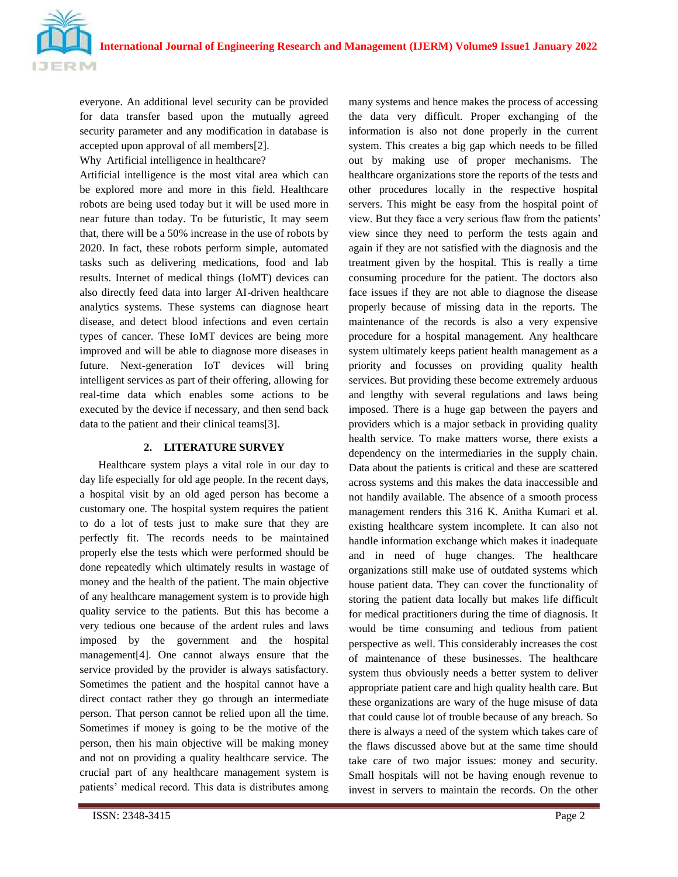

everyone. An additional level security can be provided for data transfer based upon the mutually agreed security parameter and any modification in database is accepted upon approval of all members[2].

Why Artificial intelligence in healthcare?

Artificial intelligence is the most vital area which can be explored more and more in this field. Healthcare robots are being used today but it will be used more in near future than today. To be futuristic, It may seem that, there will be a 50% increase in the use of robots by 2020. In fact, these robots perform simple, automated tasks such as delivering medications, food and lab results. Internet of medical things (IoMT) devices can also directly feed data into larger AI-driven healthcare analytics systems. These systems can diagnose heart disease, and detect blood infections and even certain types of cancer. These IoMT devices are being more improved and will be able to diagnose more diseases in future. Next-generation IoT devices will bring intelligent services as part of their offering, allowing for real-time data which enables some actions to be executed by the device if necessary, and then send back data to the patient and their clinical teams[3].

# **2. LITERATURE SURVEY**

Healthcare system plays a vital role in our day to day life especially for old age people. In the recent days, a hospital visit by an old aged person has become a customary one. The hospital system requires the patient to do a lot of tests just to make sure that they are perfectly fit. The records needs to be maintained properly else the tests which were performed should be done repeatedly which ultimately results in wastage of money and the health of the patient. The main objective of any healthcare management system is to provide high quality service to the patients. But this has become a very tedious one because of the ardent rules and laws imposed by the government and the hospital management[4]. One cannot always ensure that the service provided by the provider is always satisfactory. Sometimes the patient and the hospital cannot have a direct contact rather they go through an intermediate person. That person cannot be relied upon all the time. Sometimes if money is going to be the motive of the person, then his main objective will be making money and not on providing a quality healthcare service. The crucial part of any healthcare management system is patients' medical record. This data is distributes among

many systems and hence makes the process of accessing the data very difficult. Proper exchanging of the information is also not done properly in the current system. This creates a big gap which needs to be filled out by making use of proper mechanisms. The healthcare organizations store the reports of the tests and other procedures locally in the respective hospital servers. This might be easy from the hospital point of view. But they face a very serious flaw from the patients' view since they need to perform the tests again and again if they are not satisfied with the diagnosis and the treatment given by the hospital. This is really a time consuming procedure for the patient. The doctors also face issues if they are not able to diagnose the disease properly because of missing data in the reports. The maintenance of the records is also a very expensive procedure for a hospital management. Any healthcare system ultimately keeps patient health management as a priority and focusses on providing quality health services. But providing these become extremely arduous and lengthy with several regulations and laws being imposed. There is a huge gap between the payers and providers which is a major setback in providing quality health service. To make matters worse, there exists a dependency on the intermediaries in the supply chain. Data about the patients is critical and these are scattered across systems and this makes the data inaccessible and not handily available. The absence of a smooth process management renders this 316 K. Anitha Kumari et al. existing healthcare system incomplete. It can also not handle information exchange which makes it inadequate and in need of huge changes. The healthcare organizations still make use of outdated systems which house patient data. They can cover the functionality of storing the patient data locally but makes life difficult for medical practitioners during the time of diagnosis. It would be time consuming and tedious from patient perspective as well. This considerably increases the cost of maintenance of these businesses. The healthcare system thus obviously needs a better system to deliver appropriate patient care and high quality health care. But these organizations are wary of the huge misuse of data that could cause lot of trouble because of any breach. So there is always a need of the system which takes care of the flaws discussed above but at the same time should take care of two major issues: money and security. Small hospitals will not be having enough revenue to invest in servers to maintain the records. On the other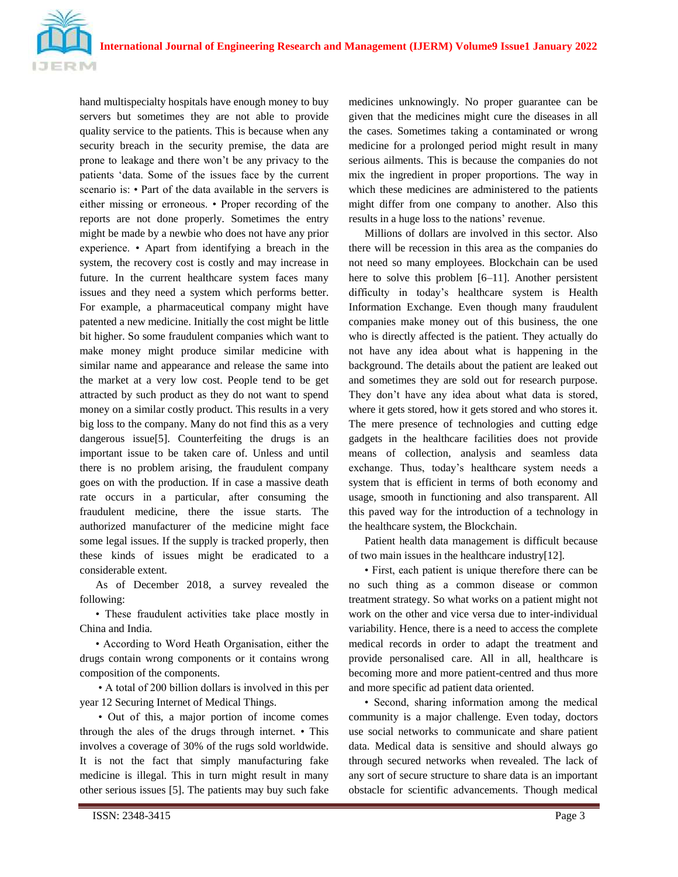

hand multispecialty hospitals have enough money to buy servers but sometimes they are not able to provide quality service to the patients. This is because when any security breach in the security premise, the data are prone to leakage and there won't be any privacy to the patients ‗data. Some of the issues face by the current scenario is: • Part of the data available in the servers is either missing or erroneous. • Proper recording of the reports are not done properly. Sometimes the entry might be made by a newbie who does not have any prior experience. • Apart from identifying a breach in the system, the recovery cost is costly and may increase in future. In the current healthcare system faces many issues and they need a system which performs better. For example, a pharmaceutical company might have patented a new medicine. Initially the cost might be little bit higher. So some fraudulent companies which want to make money might produce similar medicine with similar name and appearance and release the same into the market at a very low cost. People tend to be get attracted by such product as they do not want to spend money on a similar costly product. This results in a very big loss to the company. Many do not find this as a very dangerous issue[5]. Counterfeiting the drugs is an important issue to be taken care of. Unless and until there is no problem arising, the fraudulent company goes on with the production. If in case a massive death rate occurs in a particular, after consuming the fraudulent medicine, there the issue starts. The authorized manufacturer of the medicine might face some legal issues. If the supply is tracked properly, then these kinds of issues might be eradicated to a considerable extent.

As of December 2018, a survey revealed the following:

• These fraudulent activities take place mostly in China and India.

• According to Word Heath Organisation, either the drugs contain wrong components or it contains wrong composition of the components.

• A total of 200 billion dollars is involved in this per year 12 Securing Internet of Medical Things.

• Out of this, a major portion of income comes through the ales of the drugs through internet. • This involves a coverage of 30% of the rugs sold worldwide. It is not the fact that simply manufacturing fake medicine is illegal. This in turn might result in many other serious issues [5]. The patients may buy such fake

medicines unknowingly. No proper guarantee can be given that the medicines might cure the diseases in all the cases. Sometimes taking a contaminated or wrong medicine for a prolonged period might result in many serious ailments. This is because the companies do not mix the ingredient in proper proportions. The way in which these medicines are administered to the patients might differ from one company to another. Also this results in a huge loss to the nations' revenue.

Millions of dollars are involved in this sector. Also there will be recession in this area as the companies do not need so many employees. Blockchain can be used here to solve this problem [6–11]. Another persistent difficulty in today's healthcare system is Health Information Exchange. Even though many fraudulent companies make money out of this business, the one who is directly affected is the patient. They actually do not have any idea about what is happening in the background. The details about the patient are leaked out and sometimes they are sold out for research purpose. They don't have any idea about what data is stored, where it gets stored, how it gets stored and who stores it. The mere presence of technologies and cutting edge gadgets in the healthcare facilities does not provide means of collection, analysis and seamless data exchange. Thus, today's healthcare system needs a system that is efficient in terms of both economy and usage, smooth in functioning and also transparent. All this paved way for the introduction of a technology in the healthcare system, the Blockchain.

Patient health data management is difficult because of two main issues in the healthcare industry[12].

• First, each patient is unique therefore there can be no such thing as a common disease or common treatment strategy. So what works on a patient might not work on the other and vice versa due to inter-individual variability. Hence, there is a need to access the complete medical records in order to adapt the treatment and provide personalised care. All in all, healthcare is becoming more and more patient-centred and thus more and more specific ad patient data oriented.

• Second, sharing information among the medical community is a major challenge. Even today, doctors use social networks to communicate and share patient data. Medical data is sensitive and should always go through secured networks when revealed. The lack of any sort of secure structure to share data is an important obstacle for scientific advancements. Though medical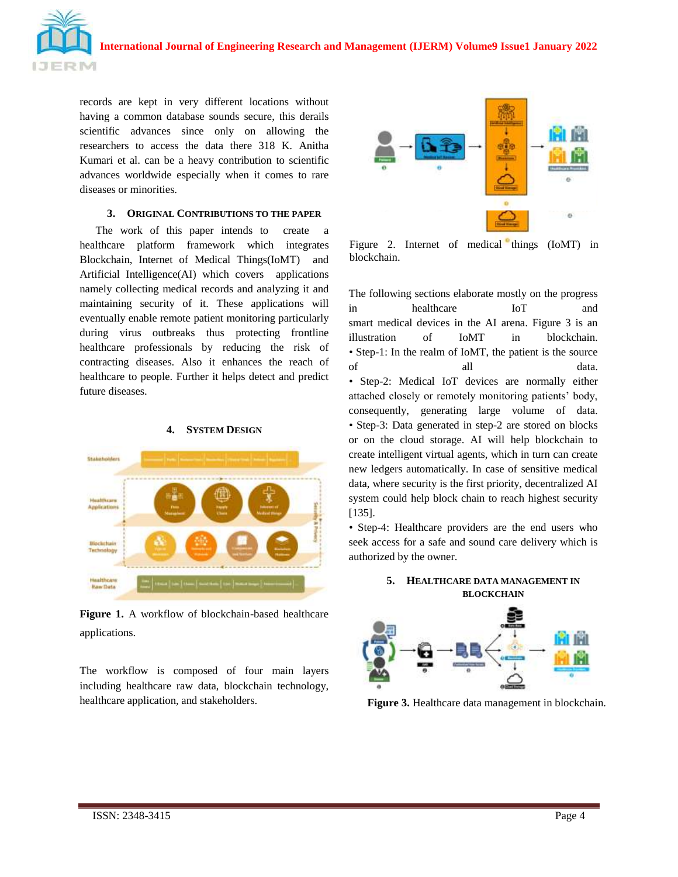records are kept in very different locations without having a common database sounds secure, this derails scientific advances since only on allowing the researchers to access the data there 318 K. Anitha Kumari et al. can be a heavy contribution to scientific advances worldwide especially when it comes to rare diseases or minorities.

#### **3. ORIGINAL CONTRIBUTIONS TO THE PAPER**

The work of this paper intends to create a healthcare platform framework which integrates Blockchain, Internet of Medical Things(IoMT) and Artificial Intelligence(AI) which covers applications namely collecting medical records and analyzing it and maintaining security of it. These applications will eventually enable remote patient monitoring particularly during virus outbreaks thus protecting frontline healthcare professionals by reducing the risk of contracting diseases. Also it enhances the reach of healthcare to people. Further it helps detect and predict future diseases.

## **4. SYSTEM DESIGN**



**Figure 1.** A workflow of blockchain-based healthcare applications.

The workflow is composed of four main layers including healthcare raw data, blockchain technology, healthcare application, and stakeholders.



Figure 2. Internet of medical things (IoMT) in blockchain.

The following sections elaborate mostly on the progress in healthcare IoT and smart medical devices in the AI arena. Figure 3 is an illustration of IoMT in blockchain. *•* Step-1: In the realm of IoMT, the patient is the source of all data. *•* Step-2: Medical IoT devices are normally either attached closely or remotely monitoring patients' body, consequently, generating large volume of data. *•* Step-3: Data generated in step-2 are stored on blocks or on the cloud storage. AI will help blockchain to create intelligent virtual agents, which in turn can create new ledgers automatically. In case of sensitive medical data, where security is the first priority, decentralized AI system could help block chain to reach highest security [135].

*•* Step-4: Healthcare providers are the end users who seek access for a safe and sound care delivery which is authorized by the owner.





**Figure 3.** Healthcare data management in blockchain.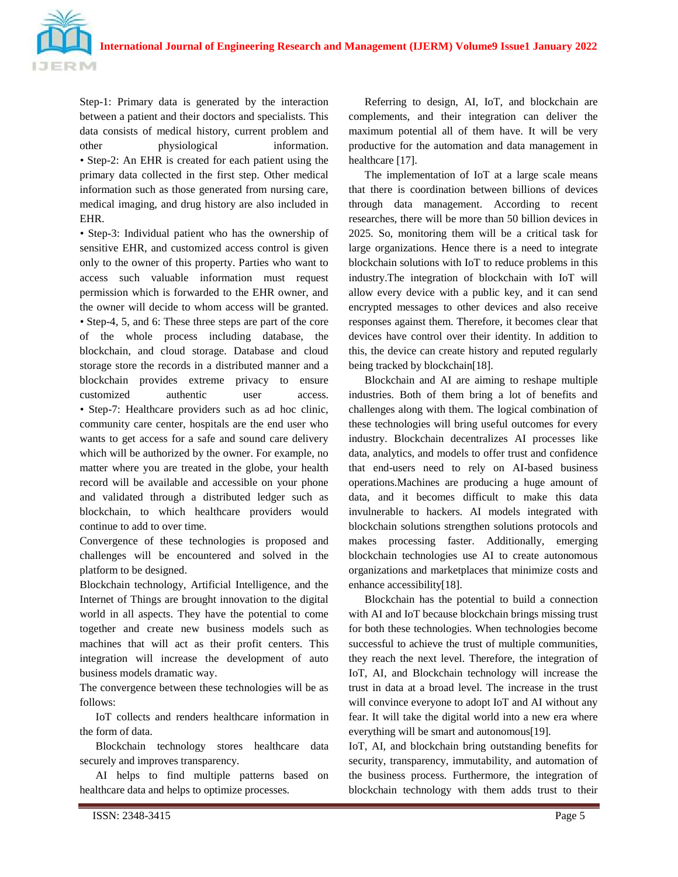

Step-1: Primary data is generated by the interaction between a patient and their doctors and specialists. This data consists of medical history, current problem and other physiological information. *•* Step-2: An EHR is created for each patient using the primary data collected in the first step. Other medical information such as those generated from nursing care, medical imaging, and drug history are also included in EHR.

*•* Step-3: Individual patient who has the ownership of sensitive EHR, and customized access control is given only to the owner of this property. Parties who want to access such valuable information must request permission which is forwarded to the EHR owner, and the owner will decide to whom access will be granted. *•* Step-4, 5, and 6: These three steps are part of the core of the whole process including database, the blockchain, and cloud storage. Database and cloud storage store the records in a distributed manner and a blockchain provides extreme privacy to ensure customized authentic user access. *•* Step-7: Healthcare providers such as ad hoc clinic, community care center, hospitals are the end user who wants to get access for a safe and sound care delivery which will be authorized by the owner. For example, no matter where you are treated in the globe, your health record will be available and accessible on your phone and validated through a distributed ledger such as blockchain, to which healthcare providers would continue to add to over time.

Convergence of these technologies is proposed and challenges will be encountered and solved in the platform to be designed.

Blockchain technology, Artificial Intelligence, and the Internet of Things are brought innovation to the digital world in all aspects. They have the potential to come together and create new business models such as machines that will act as their profit centers. This integration will increase the development of auto business models dramatic way.

The convergence between these technologies will be as follows:

IoT collects and renders healthcare information in the form of data.

Blockchain technology stores healthcare data securely and improves transparency.

AI helps to find multiple patterns based on healthcare data and helps to optimize processes.

Referring to design, AI, IoT, and blockchain are complements, and their integration can deliver the maximum potential all of them have. It will be very productive for the automation and data management in healthcare [17].

The implementation of IoT at a large scale means that there is coordination between billions of devices through data management. According to recent researches, there will be more than 50 billion devices in 2025. So, monitoring them will be a critical task for large organizations. Hence there is a need to integrate blockchain solutions with IoT to reduce problems in this industry.The integration of blockchain with IoT will allow every device with a public key, and it can send encrypted messages to other devices and also receive responses against them. Therefore, it becomes clear that devices have control over their identity. In addition to this, the device can create history and reputed regularly being tracked by blockchain[18].

Blockchain and AI are aiming to reshape multiple industries. Both of them bring a lot of benefits and challenges along with them. The logical combination of these technologies will bring useful outcomes for every industry. Blockchain decentralizes AI processes like data, analytics, and models to offer trust and confidence that end-users need to rely on AI-based business operations.Machines are producing a huge amount of data, and it becomes difficult to make this data invulnerable to hackers. AI models integrated with blockchain solutions strengthen solutions protocols and makes processing faster. Additionally, emerging blockchain technologies use AI to create autonomous organizations and marketplaces that minimize costs and enhance accessibility[18].

Blockchain has the potential to build a connection with AI and IoT because blockchain brings missing trust for both these technologies. When technologies become successful to achieve the trust of multiple communities, they reach the next level. Therefore, the integration of IoT, AI, and Blockchain technology will increase the trust in data at a broad level. The increase in the trust will convince everyone to adopt IoT and AI without any fear. It will take the digital world into a new era where everything will be smart and autonomous[19].

IoT, AI, and blockchain bring outstanding benefits for security, transparency, immutability, and automation of the business process. Furthermore, the integration of blockchain technology with them adds trust to their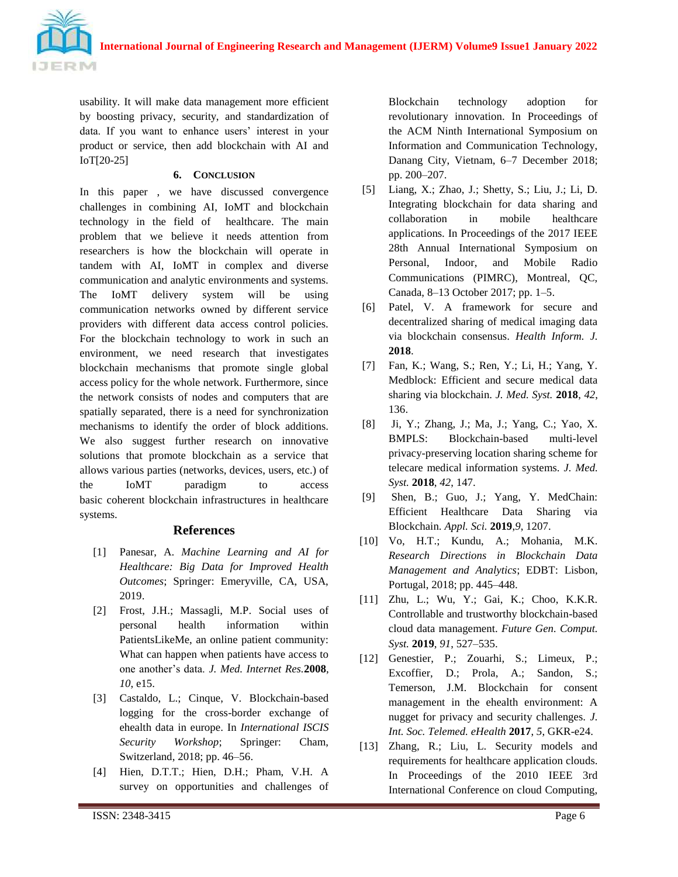

usability. It will make data management more efficient by boosting privacy, security, and standardization of data. If you want to enhance users' interest in your product or service, then add blockchain with AI and IoT[20-25]

## **6. CONCLUSION**

In this paper , we have discussed convergence challenges in combining AI, IoMT and blockchain technology in the field of healthcare. The main problem that we believe it needs attention from researchers is how the blockchain will operate in tandem with AI, IoMT in complex and diverse communication and analytic environments and systems. The IoMT delivery system will be using communication networks owned by different service providers with different data access control policies. For the blockchain technology to work in such an environment, we need research that investigates blockchain mechanisms that promote single global access policy for the whole network. Furthermore, since the network consists of nodes and computers that are spatially separated, there is a need for synchronization mechanisms to identify the order of block additions. We also suggest further research on innovative solutions that promote blockchain as a service that allows various parties (networks, devices, users, etc.) of the IoMT paradigm to access basic coherent blockchain infrastructures in healthcare systems.

#### **References**

- [1] Panesar, A. *Machine Learning and AI for Healthcare: Big Data for Improved Health Outcomes*; Springer: Emeryville, CA, USA, 2019.
- [2] Frost, J.H.; Massagli, M.P. Social uses of personal health information within PatientsLikeMe, an online patient community: What can happen when patients have access to one another's data. *J. Med. Internet Res.***2008**, *10*, e15.
- [3] Castaldo, L.; Cinque, V. Blockchain-based logging for the cross-border exchange of ehealth data in europe. In *International ISCIS Security Workshop*; Springer: Cham, Switzerland, 2018; pp. 46–56.
- [4] Hien, D.T.T.; Hien, D.H.; Pham, V.H. A survey on opportunities and challenges of

Blockchain technology adoption for revolutionary innovation. In Proceedings of the ACM Ninth International Symposium on Information and Communication Technology, Danang City, Vietnam, 6–7 December 2018; pp. 200–207.

- [5] Liang, X.; Zhao, J.; Shetty, S.; Liu, J.; Li, D. Integrating blockchain for data sharing and collaboration in mobile healthcare applications. In Proceedings of the 2017 IEEE 28th Annual International Symposium on Personal, Indoor, and Mobile Radio Communications (PIMRC), Montreal, QC, Canada, 8–13 October 2017; pp. 1–5.
- [6] Patel, V. A framework for secure and decentralized sharing of medical imaging data via blockchain consensus. *Health Inform. J.*  **2018**.
- [7] Fan, K.; Wang, S.; Ren, Y.; Li, H.; Yang, Y. Medblock: Efficient and secure medical data sharing via blockchain. *J. Med. Syst.* **2018**, *42*, 136.
- [8] Ji, Y.; Zhang, J.; Ma, J.; Yang, C.; Yao, X. BMPLS: Blockchain-based multi-level privacy-preserving location sharing scheme for telecare medical information systems. *J. Med. Syst.* **2018**, *42*, 147.
- [9] Shen, B.; Guo, J.; Yang, Y. MedChain: Efficient Healthcare Data Sharing via Blockchain. *Appl. Sci.* **2019**,*9*, 1207.
- [10] Vo, H.T.; Kundu, A.; Mohania, M.K. *Research Directions in Blockchain Data Management and Analytics*; EDBT: Lisbon, Portugal, 2018; pp. 445–448.
- [11] Zhu, L.; Wu, Y.; Gai, K.; Choo, K.K.R. Controllable and trustworthy blockchain-based cloud data management. *Future Gen. Comput. Syst.* **2019**, *91*, 527–535.
- [12] Genestier, P.; Zouarhi, S.; Limeux, P.; Excoffier, D.; Prola, A.; Sandon, S.; Temerson, J.M. Blockchain for consent management in the ehealth environment: A nugget for privacy and security challenges. *J. Int. Soc. Telemed. eHealth* **2017**, *5*, GKR-e24.
- [13] Zhang, R.; Liu, L. Security models and requirements for healthcare application clouds. In Proceedings of the 2010 IEEE 3rd International Conference on cloud Computing,